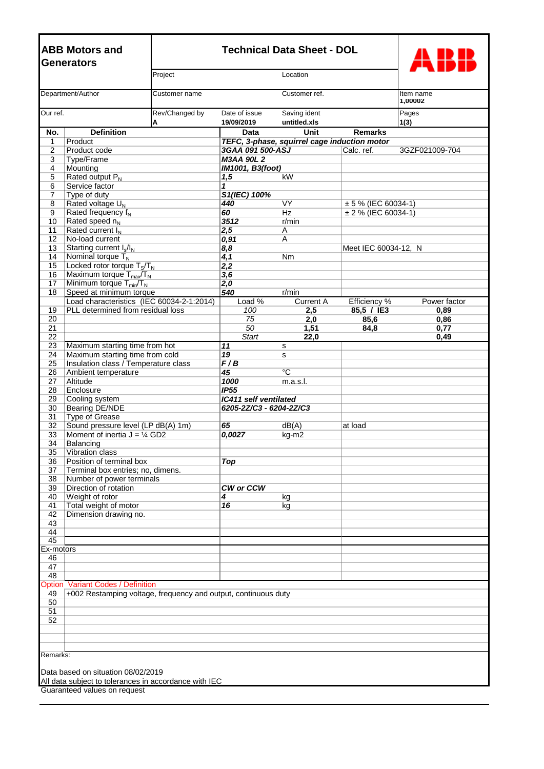| <b>ABB Motors and</b><br><b>Generators</b>     |                                                                | <b>Technical Data Sheet - DOL</b> |                                                             |                                              |                                              |                |  |
|------------------------------------------------|----------------------------------------------------------------|-----------------------------------|-------------------------------------------------------------|----------------------------------------------|----------------------------------------------|----------------|--|
| Project                                        |                                                                |                                   | Location                                                    |                                              |                                              |                |  |
| Department/Author<br>Customer name             |                                                                | Customer ref.                     |                                                             | Item name<br>1,00002                         |                                              |                |  |
| Our ref.<br>A                                  |                                                                | Rev/Changed by                    | Date of issue<br>Saving ident<br>19/09/2019<br>untitled.xls |                                              |                                              | Pages<br>1(3)  |  |
| No.                                            | <b>Definition</b>                                              |                                   | Data                                                        | <b>Unit</b>                                  | <b>Remarks</b>                               |                |  |
| $\mathbf 1$                                    | Product                                                        |                                   |                                                             | TEFC, 3-phase, squirrel cage induction motor |                                              |                |  |
| $\overline{2}$<br>3                            | Product code<br>Type/Frame                                     |                                   | 3GAA 091 500-ASJ<br><b>M3AA 90L 2</b>                       |                                              | Calc. ref.                                   | 3GZF021009-704 |  |
| 4                                              | Mounting                                                       |                                   | IM1001, B3(foot)                                            |                                              |                                              |                |  |
| 5                                              | Rated output $P_N$                                             |                                   | 1,5                                                         | kW                                           |                                              |                |  |
| 6                                              | Service factor                                                 |                                   | 1                                                           |                                              |                                              |                |  |
| $\overline{7}$                                 | Type of duty                                                   |                                   | S1(IEC) 100%                                                |                                              |                                              |                |  |
| 8<br>9                                         | Rated voltage U <sub>N</sub><br>Rated frequency f <sub>N</sub> |                                   | 440<br>60                                                   | VY.<br>Hz                                    | $± 5$ % (IEC 60034-1)<br>± 2 % (IEC 60034-1) |                |  |
| 10                                             | Rated speed n <sub>N</sub>                                     |                                   | 3512                                                        | r/min                                        |                                              |                |  |
| 11                                             | Rated current I <sub>N</sub>                                   |                                   | 2,5                                                         | Α                                            |                                              |                |  |
| 12                                             | No-load current                                                |                                   | 0,91                                                        | A                                            |                                              |                |  |
| 13                                             | Starting current I <sub>s</sub> /I <sub>N</sub>                |                                   | 8,8                                                         |                                              | Meet IEC 60034-12, N                         |                |  |
| 14                                             | Nominal torque $T_N$<br>Locked rotor torque $T_S/T_N$          |                                   | 4,1                                                         | Nm                                           |                                              |                |  |
| 15<br>16                                       | Maximum torque T <sub>max</sub> /T <sub>N</sub>                |                                   | 2,2<br>3,6                                                  |                                              |                                              |                |  |
| 17                                             | Minimum torque $T_{min}/T_N$                                   |                                   | 2,0                                                         |                                              |                                              |                |  |
| 18                                             | Speed at minimum torque                                        |                                   | 540                                                         | r/min                                        |                                              |                |  |
|                                                | Load characteristics (IEC 60034-2-1:2014)                      |                                   | Load %                                                      | <b>Current A</b>                             | <b>Efficiency %</b>                          | Power factor   |  |
| 19<br>20                                       | PLL determined from residual loss                              |                                   | 100<br>75                                                   | 2,5                                          | 85,5 / IE3                                   | 0,89           |  |
| 21                                             |                                                                |                                   | 50                                                          | 2,0<br>1,51                                  | 85,6<br>84,8                                 | 0,86<br>0,77   |  |
| 22                                             |                                                                |                                   | <b>Start</b>                                                | 22,0                                         |                                              | 0,49           |  |
| 23                                             | Maximum starting time from hot                                 |                                   | 11                                                          | s                                            |                                              |                |  |
| 24                                             | Maximum starting time from cold                                |                                   | 19                                                          | s                                            |                                              |                |  |
| 25<br>26                                       | Insulation class / Temperature class<br>Ambient temperature    |                                   | F/B<br>45                                                   | $\overline{C}$                               |                                              |                |  |
| 27                                             | Altitude                                                       |                                   | 1000                                                        | m.a.s.l.                                     |                                              |                |  |
| 28                                             | Enclosure                                                      |                                   | IP55                                                        |                                              |                                              |                |  |
| 29                                             | Cooling system                                                 |                                   | <b>IC411 self ventilated</b>                                |                                              |                                              |                |  |
| 30                                             | Bearing DE/NDE                                                 |                                   | 6205-2Z/C3 - 6204-2Z/C3                                     |                                              |                                              |                |  |
| 31<br>32                                       | <b>Type of Grease</b><br>Sound pressure level (LP dB(A) 1m)    |                                   | 65                                                          | dB(A)                                        | at load                                      |                |  |
| 33                                             | Moment of inertia $J = \frac{1}{4}$ GD2                        |                                   | 0,0027                                                      | kg-m2                                        |                                              |                |  |
| 34                                             | Balancing                                                      |                                   |                                                             |                                              |                                              |                |  |
| 35                                             | Vibration class                                                |                                   |                                                             |                                              |                                              |                |  |
| 36                                             | Position of terminal box                                       |                                   | Top                                                         |                                              |                                              |                |  |
| 37<br>38                                       | Terminal box entries; no, dimens.<br>Number of power terminals |                                   |                                                             |                                              |                                              |                |  |
| 39                                             | Direction of rotation                                          |                                   | <b>CW or CCW</b>                                            |                                              |                                              |                |  |
| 40                                             | Weight of rotor                                                |                                   | 4                                                           | kg                                           |                                              |                |  |
| 41                                             | Total weight of motor                                          |                                   | 16                                                          | kg                                           |                                              |                |  |
| 42<br>43                                       | Dimension drawing no.                                          |                                   |                                                             |                                              |                                              |                |  |
| 44                                             |                                                                |                                   |                                                             |                                              |                                              |                |  |
| 45                                             |                                                                |                                   |                                                             |                                              |                                              |                |  |
| Ex-motors                                      |                                                                |                                   |                                                             |                                              |                                              |                |  |
| 46<br>47                                       |                                                                |                                   |                                                             |                                              |                                              |                |  |
| 48                                             |                                                                |                                   |                                                             |                                              |                                              |                |  |
| Option                                         | <b>Variant Codes / Definition</b>                              |                                   |                                                             |                                              |                                              |                |  |
| 49                                             | +002 Restamping voltage, frequency and output, continuous duty |                                   |                                                             |                                              |                                              |                |  |
| 50                                             |                                                                |                                   |                                                             |                                              |                                              |                |  |
| 51<br>52                                       |                                                                |                                   |                                                             |                                              |                                              |                |  |
|                                                |                                                                |                                   |                                                             |                                              |                                              |                |  |
|                                                |                                                                |                                   |                                                             |                                              |                                              |                |  |
|                                                |                                                                |                                   |                                                             |                                              |                                              |                |  |
| Remarks:<br>Data based on situation 08/02/2019 |                                                                |                                   |                                                             |                                              |                                              |                |  |
|                                                | All data subject to tolerances in accordance with IEC          |                                   |                                                             |                                              |                                              |                |  |
|                                                | Guaranteed values on request                                   |                                   |                                                             |                                              |                                              |                |  |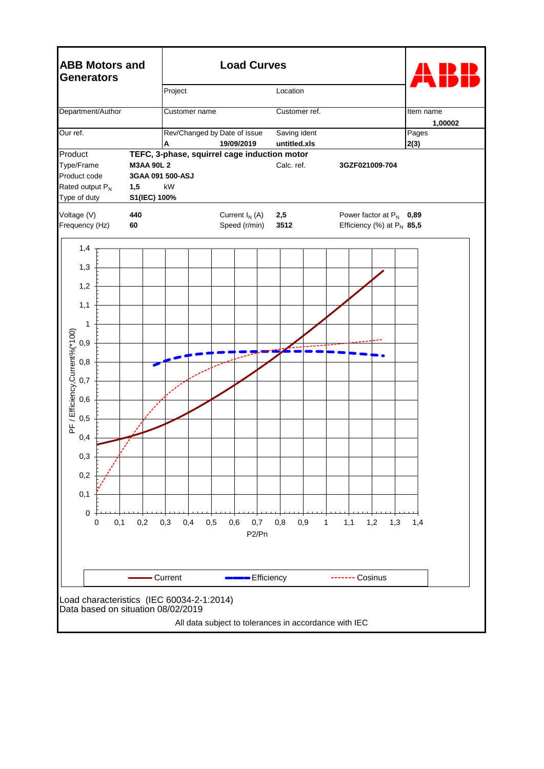